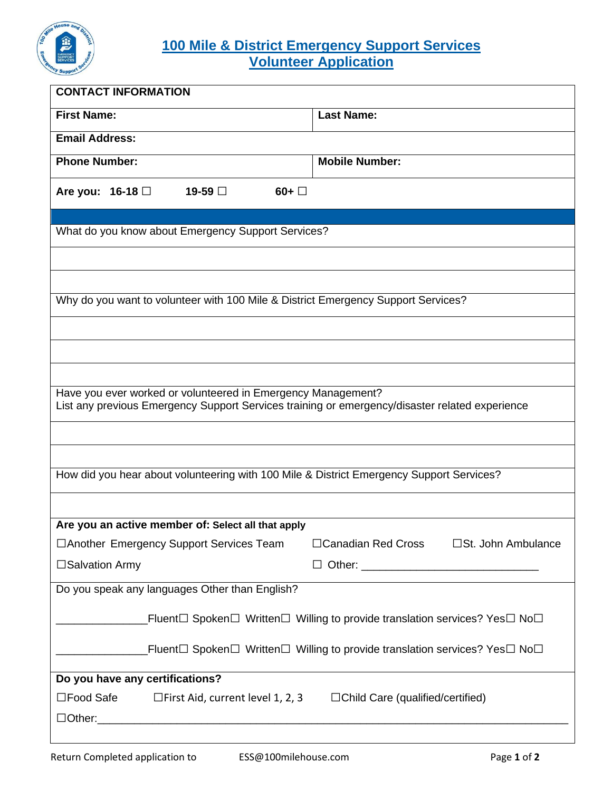

## **100 Mile & District Emergency Support Services Volunteer Application**

| <b>CONTACT INFORMATION</b>                                                                                                                                     |                                         |  |  |  |  |  |  |  |  |  |
|----------------------------------------------------------------------------------------------------------------------------------------------------------------|-----------------------------------------|--|--|--|--|--|--|--|--|--|
| <b>First Name:</b>                                                                                                                                             | <b>Last Name:</b>                       |  |  |  |  |  |  |  |  |  |
| <b>Email Address:</b>                                                                                                                                          |                                         |  |  |  |  |  |  |  |  |  |
| <b>Phone Number:</b>                                                                                                                                           | <b>Mobile Number:</b>                   |  |  |  |  |  |  |  |  |  |
| Are you: $16-18$<br>19-59 □<br>$60 + \Box$                                                                                                                     |                                         |  |  |  |  |  |  |  |  |  |
| What do you know about Emergency Support Services?                                                                                                             |                                         |  |  |  |  |  |  |  |  |  |
|                                                                                                                                                                |                                         |  |  |  |  |  |  |  |  |  |
|                                                                                                                                                                |                                         |  |  |  |  |  |  |  |  |  |
|                                                                                                                                                                |                                         |  |  |  |  |  |  |  |  |  |
| Why do you want to volunteer with 100 Mile & District Emergency Support Services?                                                                              |                                         |  |  |  |  |  |  |  |  |  |
|                                                                                                                                                                |                                         |  |  |  |  |  |  |  |  |  |
|                                                                                                                                                                |                                         |  |  |  |  |  |  |  |  |  |
|                                                                                                                                                                |                                         |  |  |  |  |  |  |  |  |  |
| Have you ever worked or volunteered in Emergency Management?<br>List any previous Emergency Support Services training or emergency/disaster related experience |                                         |  |  |  |  |  |  |  |  |  |
|                                                                                                                                                                |                                         |  |  |  |  |  |  |  |  |  |
|                                                                                                                                                                |                                         |  |  |  |  |  |  |  |  |  |
| How did you hear about volunteering with 100 Mile & District Emergency Support Services?                                                                       |                                         |  |  |  |  |  |  |  |  |  |
|                                                                                                                                                                |                                         |  |  |  |  |  |  |  |  |  |
|                                                                                                                                                                |                                         |  |  |  |  |  |  |  |  |  |
| Are you an active member of: Select all that apply                                                                                                             |                                         |  |  |  |  |  |  |  |  |  |
| □ Another Emergency Support Services Team                                                                                                                      | □Canadian Red Cross □St. John Ambulance |  |  |  |  |  |  |  |  |  |
| □Salvation Army                                                                                                                                                |                                         |  |  |  |  |  |  |  |  |  |
| Do you speak any languages Other than English?                                                                                                                 |                                         |  |  |  |  |  |  |  |  |  |
| Fluent $\Box$ Spoken $\Box$ Written $\Box$ Willing to provide translation services? Yes $\Box$ No $\Box$                                                       |                                         |  |  |  |  |  |  |  |  |  |
| Fluent $\Box$ Spoken $\Box$ Written $\Box$ Willing to provide translation services? Yes $\Box$ No $\Box$                                                       |                                         |  |  |  |  |  |  |  |  |  |
| Do you have any certifications?                                                                                                                                |                                         |  |  |  |  |  |  |  |  |  |
| $\square$ Food Safe $\square$ First Aid, current level 1, 2, 3                                                                                                 | $\Box$ Child Care (qualified/certified) |  |  |  |  |  |  |  |  |  |
|                                                                                                                                                                |                                         |  |  |  |  |  |  |  |  |  |
|                                                                                                                                                                |                                         |  |  |  |  |  |  |  |  |  |